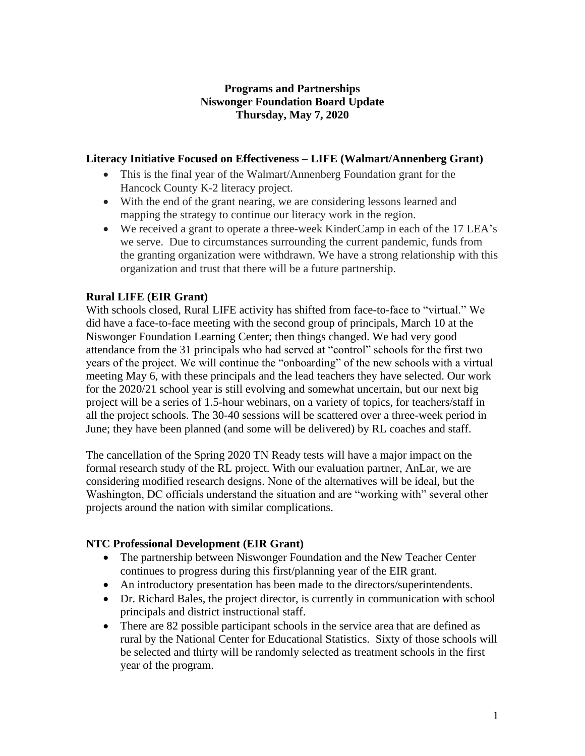## **Programs and Partnerships Niswonger Foundation Board Update Thursday, May 7, 2020**

### **Literacy Initiative Focused on Effectiveness – LIFE (Walmart/Annenberg Grant)**

- This is the final year of the Walmart/Annenberg Foundation grant for the Hancock County K-2 literacy project.
- With the end of the grant nearing, we are considering lessons learned and mapping the strategy to continue our literacy work in the region.
- We received a grant to operate a three-week KinderCamp in each of the 17 LEA's we serve. Due to circumstances surrounding the current pandemic, funds from the granting organization were withdrawn. We have a strong relationship with this organization and trust that there will be a future partnership.

## **Rural LIFE (EIR Grant)**

With schools closed, Rural LIFE activity has shifted from face-to-face to "virtual." We did have a face-to-face meeting with the second group of principals, March 10 at the Niswonger Foundation Learning Center; then things changed. We had very good attendance from the 31 principals who had served at "control" schools for the first two years of the project. We will continue the "onboarding" of the new schools with a virtual meeting May 6, with these principals and the lead teachers they have selected. Our work for the 2020/21 school year is still evolving and somewhat uncertain, but our next big project will be a series of 1.5-hour webinars, on a variety of topics, for teachers/staff in all the project schools. The 30-40 sessions will be scattered over a three-week period in June; they have been planned (and some will be delivered) by RL coaches and staff.

The cancellation of the Spring 2020 TN Ready tests will have a major impact on the formal research study of the RL project. With our evaluation partner, AnLar, we are considering modified research designs. None of the alternatives will be ideal, but the Washington, DC officials understand the situation and are "working with" several other projects around the nation with similar complications.

## **NTC Professional Development (EIR Grant)**

- The partnership between Niswonger Foundation and the New Teacher Center continues to progress during this first/planning year of the EIR grant.
- An introductory presentation has been made to the directors/superintendents.
- Dr. Richard Bales, the project director, is currently in communication with school principals and district instructional staff.
- There are 82 possible participant schools in the service area that are defined as rural by the National Center for Educational Statistics. Sixty of those schools will be selected and thirty will be randomly selected as treatment schools in the first year of the program.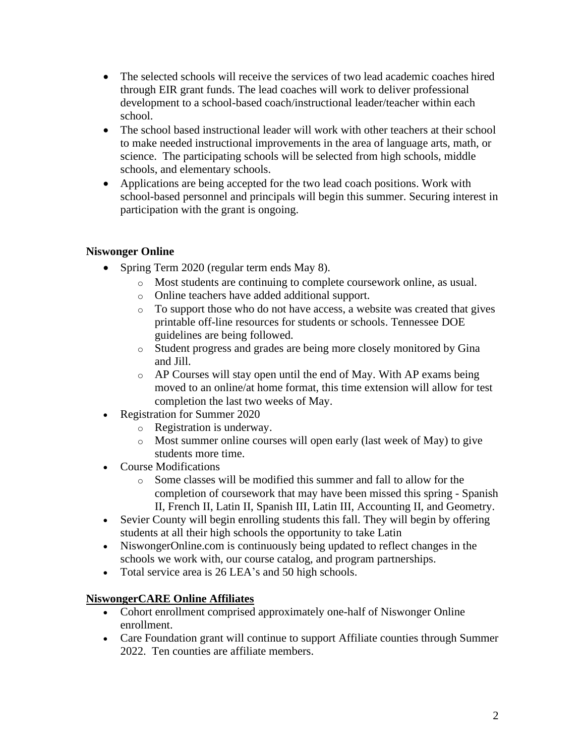- The selected schools will receive the services of two lead academic coaches hired through EIR grant funds. The lead coaches will work to deliver professional development to a school-based coach/instructional leader/teacher within each school.
- The school based instructional leader will work with other teachers at their school to make needed instructional improvements in the area of language arts, math, or science. The participating schools will be selected from high schools, middle schools, and elementary schools.
- Applications are being accepted for the two lead coach positions. Work with school-based personnel and principals will begin this summer. Securing interest in participation with the grant is ongoing.

## **Niswonger Online**

- Spring Term 2020 (regular term ends May 8).
	- o Most students are continuing to complete coursework online, as usual.
	- o Online teachers have added additional support.
	- o To support those who do not have access, a website was created that gives printable off-line resources for students or schools. Tennessee DOE guidelines are being followed.
	- o Student progress and grades are being more closely monitored by Gina and Jill.
	- o AP Courses will stay open until the end of May. With AP exams being moved to an online/at home format, this time extension will allow for test completion the last two weeks of May.
- Registration for Summer 2020
	- o Registration is underway.
	- o Most summer online courses will open early (last week of May) to give students more time.
- Course Modifications
	- o Some classes will be modified this summer and fall to allow for the completion of coursework that may have been missed this spring - Spanish II, French II, Latin II, Spanish III, Latin III, Accounting II, and Geometry.
- Sevier County will begin enrolling students this fall. They will begin by offering students at all their high schools the opportunity to take Latin
- NiswongerOnline.com is continuously being updated to reflect changes in the schools we work with, our course catalog, and program partnerships.
- Total service area is 26 LEA's and 50 high schools.

## **NiswongerCARE Online Affiliates**

- Cohort enrollment comprised approximately one-half of Niswonger Online enrollment.
- Care Foundation grant will continue to support Affiliate counties through Summer 2022. Ten counties are affiliate members.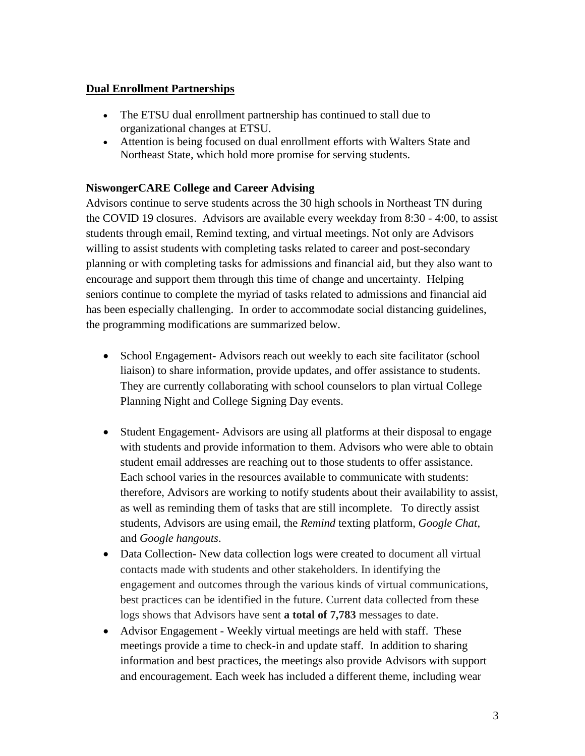## **Dual Enrollment Partnerships**

- The ETSU dual enrollment partnership has continued to stall due to organizational changes at ETSU.
- Attention is being focused on dual enrollment efforts with Walters State and Northeast State, which hold more promise for serving students.

## **NiswongerCARE College and Career Advising**

Advisors continue to serve students across the 30 high schools in Northeast TN during the COVID 19 closures. Advisors are available every weekday from 8:30 - 4:00, to assist students through email, Remind texting, and virtual meetings. Not only are Advisors willing to assist students with completing tasks related to career and post-secondary planning or with completing tasks for admissions and financial aid, but they also want to encourage and support them through this time of change and uncertainty. Helping seniors continue to complete the myriad of tasks related to admissions and financial aid has been especially challenging. In order to accommodate social distancing guidelines, the programming modifications are summarized below.

- School Engagement-Advisors reach out weekly to each site facilitator (school liaison) to share information, provide updates, and offer assistance to students. They are currently collaborating with school counselors to plan virtual College Planning Night and College Signing Day events.
- Student Engagement- Advisors are using all platforms at their disposal to engage with students and provide information to them. Advisors who were able to obtain student email addresses are reaching out to those students to offer assistance. Each school varies in the resources available to communicate with students: therefore, Advisors are working to notify students about their availability to assist, as well as reminding them of tasks that are still incomplete. To directly assist students, Advisors are using email, the *Remind* texting platform, *Google Chat*, and *Google hangouts*.
- Data Collection- New data collection logs were created to document all virtual contacts made with students and other stakeholders. In identifying the engagement and outcomes through the various kinds of virtual communications, best practices can be identified in the future. Current data collected from these logs shows that Advisors have sent **a total of 7,783** messages to date.
- Advisor Engagement Weekly virtual meetings are held with staff. These meetings provide a time to check-in and update staff. In addition to sharing information and best practices, the meetings also provide Advisors with support and encouragement. Each week has included a different theme, including wear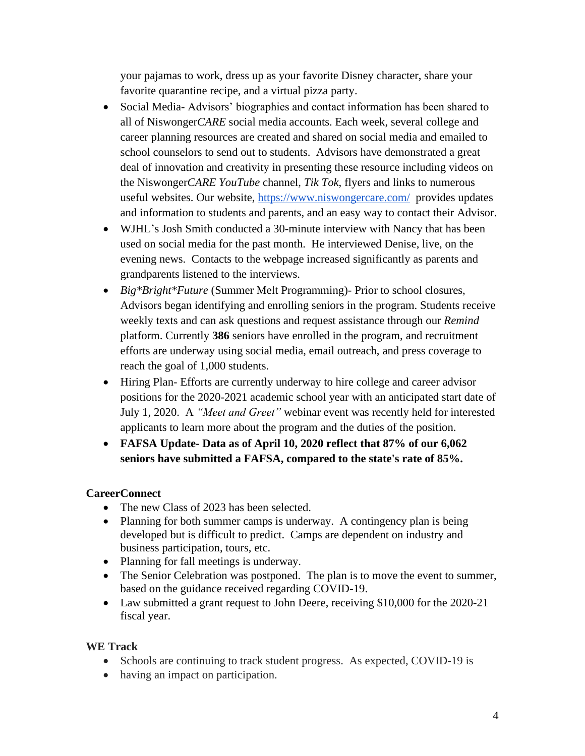your pajamas to work, dress up as your favorite Disney character, share your favorite quarantine recipe, and a virtual pizza party.

- Social Media-Advisors' biographies and contact information has been shared to all of Niswonger*CARE* social media accounts. Each week, several college and career planning resources are created and shared on social media and emailed to school counselors to send out to students. Advisors have demonstrated a great deal of innovation and creativity in presenting these resource including videos on the Niswonger*CARE YouTube* channel, *Tik Tok*, flyers and links to numerous useful websites. Our website,<https://www.niswongercare.com/>provides updates and information to students and parents, and an easy way to contact their Advisor.
- WJHL's Josh Smith conducted a 30-minute interview with Nancy that has been used on social media for the past month. He interviewed Denise, live, on the evening news. Contacts to the webpage increased significantly as parents and grandparents listened to the interviews.
- *Big\*Bright\*Future* (Summer Melt Programming)- Prior to school closures, Advisors began identifying and enrolling seniors in the program. Students receive weekly texts and can ask questions and request assistance through our *Remind* platform. Currently **386** seniors have enrolled in the program, and recruitment efforts are underway using social media, email outreach, and press coverage to reach the goal of 1,000 students.
- Hiring Plan- Efforts are currently underway to hire college and career advisor positions for the 2020-2021 academic school year with an anticipated start date of July 1, 2020. A *"Meet and Greet"* webinar event was recently held for interested applicants to learn more about the program and the duties of the position.
- **FAFSA Update- Data as of April 10, 2020 reflect that 87% of our 6,062 seniors have submitted a FAFSA, compared to the state's rate of 85%.**

# **CareerConnect**

- The new Class of 2023 has been selected.
- Planning for both summer camps is underway. A contingency plan is being developed but is difficult to predict. Camps are dependent on industry and business participation, tours, etc.
- Planning for fall meetings is underway.
- The Senior Celebration was postponed. The plan is to move the event to summer, based on the guidance received regarding COVID-19.
- Law submitted a grant request to John Deere, receiving \$10,000 for the 2020-21 fiscal year.

## **WE Track**

- Schools are continuing to track student progress. As expected, COVID-19 is
- having an impact on participation.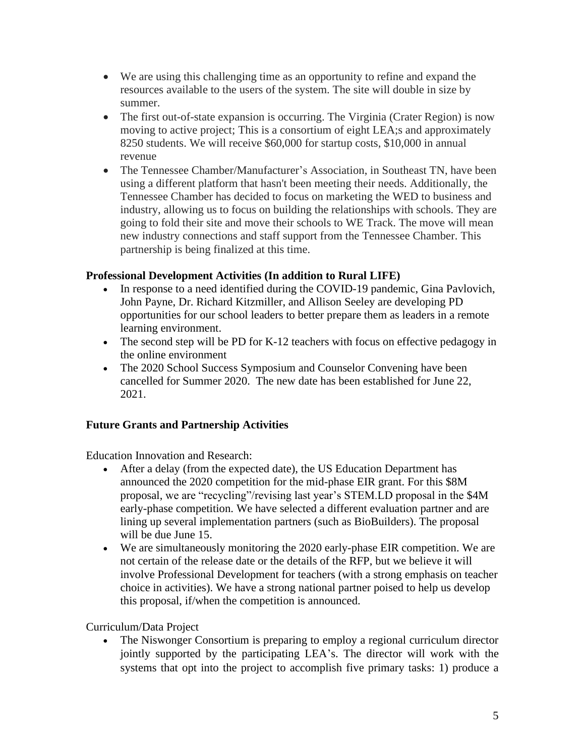- We are using this challenging time as an opportunity to refine and expand the resources available to the users of the system. The site will double in size by summer.
- The first out-of-state expansion is occurring. The Virginia (Crater Region) is now moving to active project; This is a consortium of eight LEA;s and approximately 8250 students. We will receive \$60,000 for startup costs, \$10,000 in annual revenue
- The Tennessee Chamber/Manufacturer's Association, in Southeast TN, have been using a different platform that hasn't been meeting their needs. Additionally, the Tennessee Chamber has decided to focus on marketing the WED to business and industry, allowing us to focus on building the relationships with schools. They are going to fold their site and move their schools to WE Track. The move will mean new industry connections and staff support from the Tennessee Chamber. This partnership is being finalized at this time.

## **Professional Development Activities (In addition to Rural LIFE)**

- In response to a need identified during the COVID-19 pandemic, Gina Pavlovich, John Payne, Dr. Richard Kitzmiller, and Allison Seeley are developing PD opportunities for our school leaders to better prepare them as leaders in a remote learning environment.
- The second step will be PD for K-12 teachers with focus on effective pedagogy in the online environment
- The 2020 School Success Symposium and Counselor Convening have been cancelled for Summer 2020. The new date has been established for June 22, 2021.

## **Future Grants and Partnership Activities**

Education Innovation and Research:

- After a delay (from the expected date), the US Education Department has announced the 2020 competition for the mid-phase EIR grant. For this \$8M proposal, we are "recycling"/revising last year's STEM.LD proposal in the \$4M early-phase competition. We have selected a different evaluation partner and are lining up several implementation partners (such as BioBuilders). The proposal will be due June 15.
- We are simultaneously monitoring the 2020 early-phase EIR competition. We are not certain of the release date or the details of the RFP, but we believe it will involve Professional Development for teachers (with a strong emphasis on teacher choice in activities). We have a strong national partner poised to help us develop this proposal, if/when the competition is announced.

## Curriculum/Data Project

• The Niswonger Consortium is preparing to employ a regional curriculum director jointly supported by the participating LEA's. The director will work with the systems that opt into the project to accomplish five primary tasks: 1) produce a